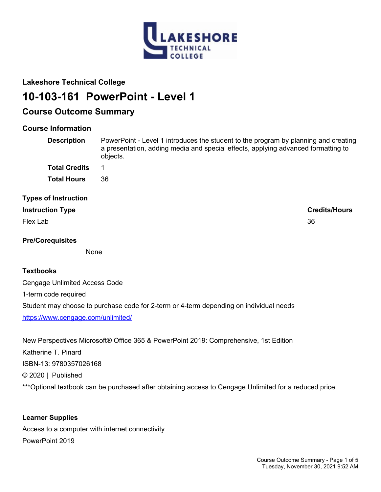

## **Lakeshore Technical College**

# **10-103-161 PowerPoint - Level 1**

## **Course Outcome Summary**

## **Course Information**

| <b>Description</b>          | PowerPoint - Level 1 introduces the student to the program by planning and creating<br>a presentation, adding media and special effects, applying advanced formatting to<br>objects. |  |
|-----------------------------|--------------------------------------------------------------------------------------------------------------------------------------------------------------------------------------|--|
| <b>Total Credits</b>        |                                                                                                                                                                                      |  |
| <b>Total Hours</b>          | 36                                                                                                                                                                                   |  |
| <b>Types of Instruction</b> |                                                                                                                                                                                      |  |
| <b>Instruction Type</b>     | <b>Credits/Hours</b>                                                                                                                                                                 |  |
| Flex Lab                    | 36                                                                                                                                                                                   |  |

## **Pre/Corequisites**

None

## **Textbooks**

Cengage Unlimited Access Code 1-term code required Student may choose to purchase code for 2-term or 4-term depending on individual needs <https://www.cengage.com/unlimited/>

New Perspectives Microsoft® Office 365 & PowerPoint 2019: Comprehensive, 1st Edition Katherine T. Pinard ISBN-13: 9780357026168 © 2020 | Published \*\*\* Optional textbook can be purchased after obtaining access to Cengage Unlimited for a reduced price.

**Learner Supplies** Access to a computer with internet connectivity PowerPoint 2019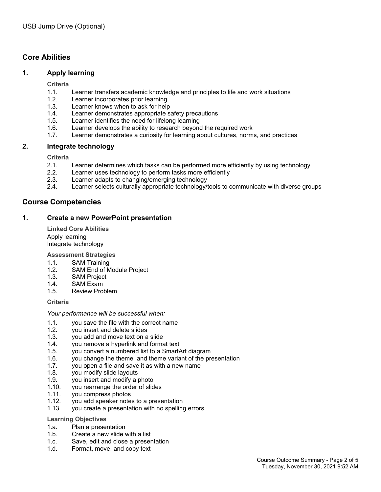## **Core Abilities**

## **1. Apply learning**

**Criteria**

- 1.1. Learner transfers academic knowledge and principles to life and work situations
- 1.2. Learner incorporates prior learning
- 1.3. Learner knows when to ask for help
- 1.4. Learner demonstrates appropriate safety precautions
- 1.5. Learner identifies the need for lifelong learning
- 1.6. Learner develops the ability to research beyond the required work
- 1.7. Learner demonstrates a curiosity for learning about cultures, norms, and practices

## **2. Integrate technology**

**Criteria**

- 2.1. Learner determines which tasks can be performed more efficiently by using technology
- 2.2. Learner uses technology to perform tasks more efficiently
- 2.3. Learner adapts to changing/emerging technology
- 2.4. Learner selects culturally appropriate technology/tools to communicate with diverse groups

## **Course Competencies**

## **1. Create a new PowerPoint presentation**

**Linked Core Abilities** Apply learning Integrate technology

**Assessment Strategies**

- 1.1. SAM Training
- 1.2. SAM End of Module Project
- 1.3. SAM Project
- 1.4. SAM Exam
- 1.5. Review Problem

**Criteria**

#### *Your performance will be successful when:*

- 1.1. you save the file with the correct name
- 1.2. you insert and delete slides
- 1.3. you add and move text on a slide
- 1.4. you remove a hyperlink and format text
- 1.5. you convert a numbered list to a SmartArt diagram
- 1.6. you change the theme and theme variant of the presentation
- 1.7. you open a file and save it as with a new name
- 1.8. you modify slide layouts
- 1.9. you insert and modify a photo
- 1.10. you rearrange the order of slides
- 1.11. you compress photos
- 1.12. you add speaker notes to a presentation
- 1.13. you create a presentation with no spelling errors

#### **Learning Objectives**

- 1.a. Plan a presentation
- 1.b. Create a new slide with a list
- 1.c. Save, edit and close a presentation
- 1.d. Format, move, and copy text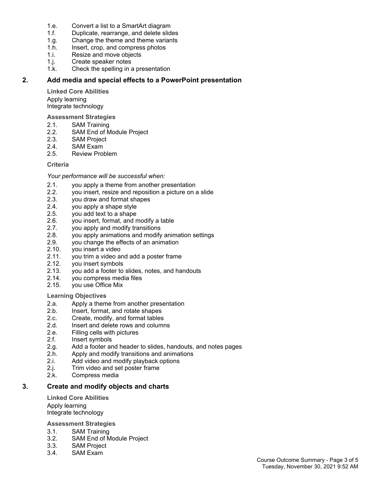- 1.e. Convert a list to a SmartArt diagram
- 1.f. Duplicate, rearrange, and delete slides
- 1.g. Change the theme and theme variants
- 1.h. Insert, crop, and compress photos
- 1.i. Resize and move objects
- 1.j. Create speaker notes
- 1.k. Check the spelling in a presentation

## **2. Add media and special effects to a PowerPoint presentation**

**Linked Core Abilities** Apply learning Integrate technology

**Assessment Strategies**

- 2.1. SAM Training
- 2.2. SAM End of Module Project
- 2.3. SAM Project
- 2.4. SAM Exam<br>2.5. Review Pro
- Review Problem

## **Criteria**

*Your performance will be successful when:*

- 2.1. you apply a theme from another presentation
- 2.2. you insert, resize and reposition a picture on a slide
- 2.3. you draw and format shapes
- 2.4. you apply a shape style
- 2.5. you add text to a shape
- 2.6. you insert, format, and modify a table
- 2.7. you apply and modify transitions
- 2.8. you apply animations and modify animation settings
- 2.9. you change the effects of an animation
- 2.10. you insert a video
- 2.11. you trim a video and add a poster frame
- 2.12. you insert symbols
- 2.13. you add a footer to slides, notes, and handouts
- 2.14. you compress media files
- 2.15. you use Office Mix

#### **Learning Objectives**

- 2.a. Apply a theme from another presentation<br>2.b. Insert. format. and rotate shapes
- Insert, format, and rotate shapes
- 2.c. Create, modify, and format tables
- 2.d. Insert and delete rows and columns
- 2.e. Filling cells with pictures
- 2.f. Insert symbols
- 2.g. Add a footer and header to slides, handouts, and notes pages
- 2.h. Apply and modify transitions and animations
- 2.i. Add video and modify playback options
- 2.j. Trim video and set poster frame
- 2.k. Compress media

## **3. Create and modify objects and charts**

**Linked Core Abilities** Apply learning Integrate technology

**Assessment Strategies**

- 3.1. SAM Training
- 3.2. SAM End of Module Project
- 3.3. SAM Project
- 3.4. SAM Exam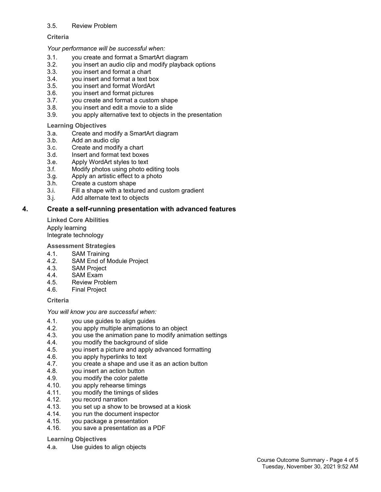#### 3.5. Review Problem

#### **Criteria**

#### *Your performance will be successful when:*

- 3.1. you create and format a SmartArt diagram
- 3.2. you insert an audio clip and modify playback options
- 3.3. you insert and format a chart
- 3.4. you insert and format a text box
- 3.5. you insert and format WordArt
- 3.6. you insert and format pictures
- 3.7. you create and format a custom shape
- 3.8. you insert and edit a movie to a slide
- 3.9. you apply alternative text to objects in the presentation

#### **Learning Objectives**

- 3.a. Create and modify a SmartArt diagram
- 3.b. Add an audio clip
- 3.c. Create and modify a chart
- 3.d. Insert and format text boxes
- 3.e. Apply WordArt styles to text
- 3.f. Modify photos using photo editing tools
- 3.g. Apply an artistic effect to a photo
- 3.h. Create a custom shape
- 3.i. Fill a shape with a textured and custom gradient
- 3.j. Add alternate text to objects

#### **4. Create a self-running presentation with advanced features**

**Linked Core Abilities** Apply learning Integrate technology

**Assessment Strategies**

- 4.1. SAM Training
- 4.2. SAM End of Module Project
- 4.3. SAM Project
- 4.4. SAM Exam
- 4.5. Review Problem
- 4.6. Final Project

#### **Criteria**

#### *You will know you are successful when:*

- 4.1. you use guides to align guides
- 4.2. you apply multiple animations to an object
- 4.3. you use the animation pane to modify animation settings
- 4.4. you modify the background of slide
- 4.5. you insert a picture and apply advanced formatting
- 4.6. you apply hyperlinks to text
- 4.7. you create a shape and use it as an action button
- 4.8. you insert an action button
- 4.9. you modify the color palette
- 4.10. you apply rehearse timings
- 4.11. you modify the timings of slides<br>4.12. vou record narration
- 4.12. you record narration
- 4.13. you set up a show to be browsed at a kiosk
- 4.14. you run the document inspector
- 4.15. you package a presentation
- 4.16. you save a presentation as a PDF

#### **Learning Objectives**

4.a. Use guides to align objects